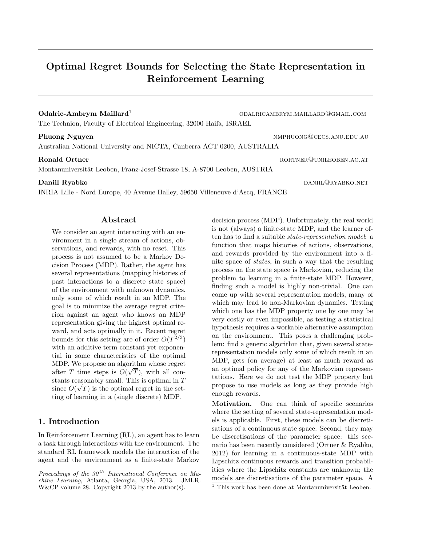# Optimal Regret Bounds for Selecting the State Representation in Reinforcement Learning

#### Odalric-Ambrym Maillard<sup>1</sup> and the community of the community of the community of the community of the community of the community of the community of the community of the community of the community of the community of the

The Technion, Faculty of Electrical Engineering, 32000 Haifa, ISRAEL

### Phuong Nguyen nmphuong@cecs.anu.edu.au

Australian National University and NICTA, Canberra ACT 0200, AUSTRALIA

Montanuniversität Leoben, Franz-Josef-Strasse 18, A-8700 Leoben, AUSTRIA

INRIA Lille - Nord Europe, 40 Avenue Halley, 59650 Villeneuve d'Ascq, FRANCE

#### Abstract

We consider an agent interacting with an environment in a single stream of actions, observations, and rewards, with no reset. This process is not assumed to be a Markov Decision Process (MDP). Rather, the agent has several representations (mapping histories of past interactions to a discrete state space) of the environment with unknown dynamics, only some of which result in an MDP. The goal is to minimize the average regret criterion against an agent who knows an MDP representation giving the highest optimal reward, and acts optimally in it. Recent regret bounds for this setting are of order  $O(T^{2/3})$ with an additive term constant yet exponential in some characteristics of the optimal MDP. We propose an algorithm whose regret after T time steps is  $O(\sqrt{T})$ , with all constants reasonably small. This is optimal in  $T$ since  $O(\sqrt{T})$  is the optimal regret in the setting of learning in a (single discrete) MDP.

## 1. Introduction

In Reinforcement Learning (RL), an agent has to learn a task through interactions with the environment. The standard RL framework models the interaction of the agent and the environment as a finite-state Markov decision process (MDP). Unfortunately, the real world is not (always) a finite-state MDP, and the learner often has to find a suitable state-representation model: a function that maps histories of actions, observations, and rewards provided by the environment into a finite space of states, in such a way that the resulting process on the state space is Markovian, reducing the problem to learning in a finite-state MDP. However, finding such a model is highly non-trivial. One can come up with several representation models, many of which may lead to non-Markovian dynamics. Testing which one has the MDP property one by one may be very costly or even impossible, as testing a statistical hypothesis requires a workable alternative assumption on the environment. This poses a challenging problem: find a generic algorithm that, given several staterepresentation models only some of which result in an MDP, gets (on average) at least as much reward as an optimal policy for any of the Markovian representations. Here we do not test the MDP property but propose to use models as long as they provide high enough rewards.

Motivation. One can think of specific scenarios where the setting of several state-representation models is applicable. First, these models can be discretisations of a continuous state space. Second, they may be discretisations of the parameter space: this scenario has been recently considered (Ortner & Ryabko, 2012) for learning in a continuous-state MDP with Lipschitz continuous rewards and transition probabilities where the Lipschitz constants are unknown; the models are discretisations of the parameter space. A  $\frac{1}{1}$  This work has been done at Montanuniversität Leoben.

Ronald Ortner rorthware rorthware rorthware rorthware rorthware rorthware rorthware rorthware rorthware rorthware rorthware rorthware rorthware rorthware rorthware rorthware rorthware rorthware rorthware rorthware rorthwar

Daniil Ryabko daniil@ryabko.net

Proceedings of the  $30<sup>th</sup>$  International Conference on Machine Learning, Atlanta, Georgia, USA, 2013. JMLR: W&CP volume 28. Copyright 2013 by the author(s).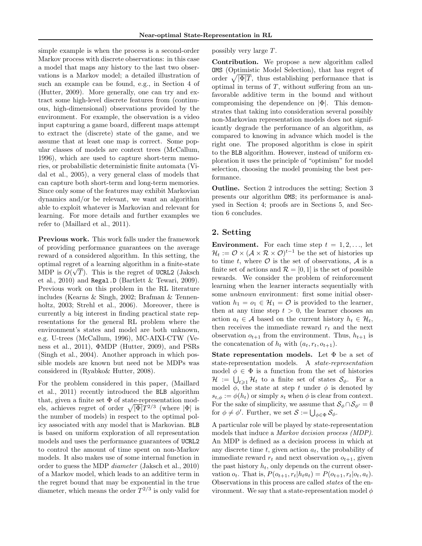simple example is when the process is a second-order Markov process with discrete observations: in this case a model that maps any history to the last two observations is a Markov model; a detailed illustration of such an example can be found, e.g., in Section 4 of (Hutter, 2009). More generally, one can try and extract some high-level discrete features from (continuous, high-dimensional) observations provided by the environment. For example, the observation is a video input capturing a game board, different maps attempt to extract the (discrete) state of the game, and we assume that at least one map is correct. Some popular classes of models are context trees (McCallum, 1996), which are used to capture short-term memories, or probabilistic deterministic finite automata (Vidal et al., 2005), a very general class of models that can capture both short-term and long-term memories. Since only some of the features may exhibit Markovian dynamics and/or be relevant, we want an algorithm able to exploit whatever is Markovian and relevant for learning. For more details and further examples we refer to (Maillard et al., 2011).

Previous work. This work falls under the framework of providing performance guarantees on the average reward of a considered algorithm. In this setting, the optimal regret of a learning algorithm in a finite-state √ MDP is  $O(\sqrt{T})$ . This is the regret of UCRL2 (Jaksch et al., 2010) and Regal.D (Bartlett & Tewari, 2009). Previous work on this problem in the RL literature includes (Kearns & Singh, 2002; Brafman & Tennenholtz, 2003; Strehl et al., 2006). Moreover, there is currently a big interest in finding practical state representations for the general RL problem where the environment's states and model are both unknown, e.g. U-trees (McCallum, 1996), MC-AIXI-CTW (Veness et al., 2011), ΦMDP (Hutter, 2009), and PSRs (Singh et al., 2004). Another approach in which possible models are known but need not be MDPs was considered in (Ryabko& Hutter, 2008).

For the problem considered in this paper, (Maillard et al., 2011) recently introduced the BLB algorithm that, given a finite set  $\Phi$  of state-representation models, achieves regret of order  $\sqrt{|\Phi|}T^{2/3}$  (where  $|\Phi|$  is the number of models) in respect to the optimal policy associated with any model that is Markovian. BLB is based on uniform exploration of all representation models and uses the performance guarantees of UCRL2 to control the amount of time spent on non-Markov models. It also makes use of some internal function in order to guess the MDP diameter (Jaksch et al., 2010) of a Markov model, which leads to an additive term in the regret bound that may be exponential in the true diameter, which means the order  $T^{2/3}$  is only valid for possibly very large T.

Contribution. We propose a new algorithm called OMS (Optimistic Model Selection), that has regret of order  $\sqrt{|\Phi|T}$ , thus establishing performance that is optimal in terms of  $T$ , without suffering from an unfavorable additive term in the bound and without compromising the dependence on  $|\Phi|$ . This demonstrates that taking into consideration several possibly non-Markovian representation models does not significantly degrade the performance of an algorithm, as compared to knowing in advance which model is the right one. The proposed algorithm is close in spirit to the BLB algorithm. However, instead of uniform exploration it uses the principle of "optimism" for model selection, choosing the model promising the best performance.

Outline. Section 2 introduces the setting; Section 3 presents our algorithm OMS; its performance is analysed in Section 4; proofs are in Sections 5, and Section 6 concludes.

#### 2. Setting

**Environment.** For each time step  $t = 1, 2, \ldots$ , let  $\mathcal{H}_t := \mathcal{O} \times (\mathcal{A} \times \mathcal{R} \times \mathcal{O})^{t-1}$  be the set of histories up to time t, where  $\mathcal O$  is the set of observations,  $\mathcal A$  is a finite set of actions and  $\mathcal{R} = [0, 1]$  is the set of possible rewards. We consider the problem of reinforcement learning when the learner interacts sequentially with some unknown environment: first some initial observation  $h_1 = o_1 \in \mathcal{H}_1 = \mathcal{O}$  is provided to the learner, then at any time step  $t > 0$ , the learner chooses an action  $a_t \in \mathcal{A}$  based on the current history  $h_t \in \mathcal{H}_t$ , then receives the immediate reward  $r_t$  and the next observation  $o_{t+1}$  from the environment. Thus,  $h_{t+1}$  is the concatenation of  $h_t$  with  $(a_t, r_t, o_{t+1})$ .

**State representation models.** Let  $\Phi$  be a set of state-representation models. A state-representation model  $\phi \in \Phi$  is a function from the set of histories  $\mathcal{H} := \bigcup_{t \geqslant 1} \mathcal{H}_t$  to a finite set of states  $\mathcal{S}_{\phi}$ . For a model  $\phi$ , the state at step t under  $\phi$  is denoted by  $s_{t,\phi} := \phi(h_t)$  or simply  $s_t$  when  $\phi$  is clear from context. For the sake of simplicity, we assume that  $\mathcal{S}_{\phi} \cap \mathcal{S}_{\phi'} = \emptyset$ for  $\phi \neq \phi'$ . Further, we set  $\mathcal{S} := \bigcup_{\phi \in \Phi} \mathcal{S}_{\phi}$ .

A particular role will be played by state-representation models that induce a Markov decision process (MDP). An MDP is defined as a decision process in which at any discrete time  $t$ , given action  $a_t$ , the probability of immediate reward  $r_t$  and next observation  $o_{t+1}$ , given the past history  $h_t$ , only depends on the current observation  $o_t$ . That is,  $P(o_{t+1}, r_t | h_t a_t) = P(o_{t+1}, r_t | o_t, a_t)$ . Observations in this process are called states of the environment. We say that a state-representation model  $\phi$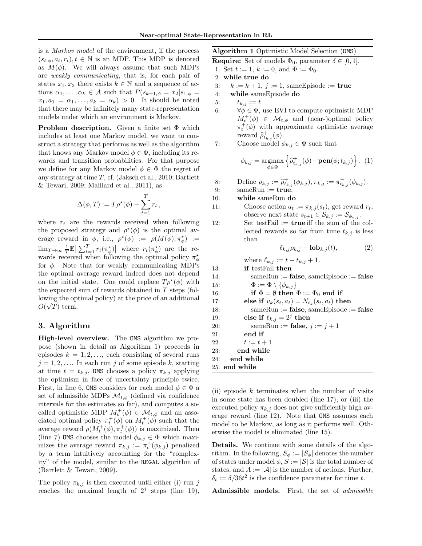is a Markov model of the environment, if the process  $(s_{t,\phi}, a_t, r_t), t \in \mathbb{N}$  is an MDP. This MDP is denoted as  $M(\phi)$ . We will always assume that such MDPs are weakly communicating, that is, for each pair of states  $x_1, x_2$  there exists  $k \in \mathbb{N}$  and a sequence of actions  $\alpha_1, \ldots, \alpha_k \in \mathcal{A}$  such that  $P(s_{k+1,\phi} = x_2|s_{1,\phi} =$  $x_1, a_1 = \alpha_1, \ldots, a_k = \alpha_k$  > 0. It should be noted that there may be infinitely many state-representation models under which an environment is Markov.

Problem description. Given a finite set Φ which includes at least one Markov model, we want to construct a strategy that performs as well as the algorithm that knows any Markov model  $\phi \in \Phi$ , including its rewards and transition probabilities. For that purpose we define for any Markov model  $\phi \in \Phi$  the regret of any strategy at time T, cf. (Jaksch et al., 2010; Bartlett & Tewari, 2009; Maillard et al., 2011), as

$$
\Delta(\phi, T) := T \rho^{\star}(\phi) - \sum_{t=1}^{T} r_t,
$$

where  $r_t$  are the rewards received when following the proposed strategy and  $\rho^*(\phi)$  is the optimal average reward in  $\phi$ , i.e.,  $\rho^*(\phi) := \rho(M(\phi), \pi^*_\phi) :=$  $\lim_{T\to\infty}\frac{1}{T}\mathbb{E}\big[\sum_{t=1}^T r_t(\pi_{\phi}^{\star})\big]$  where  $r_t(\pi_{\phi}^{\star})$  are the rewards received when following the optimal policy  $\pi^*_{\phi}$ for  $\phi$ . Note that for weakly communicating MDPs the optimal average reward indeed does not depend on the initial state. One could replace  $T \rho^*(\phi)$  with the expected sum of rewards obtained in T steps (following the optimal policy) at the price of an additional  $O(\sqrt{T})$  term.

#### 3. Algorithm

High-level overview. The OMS algorithm we propose (shown in detail as Algorithm 1) proceeds in episodes  $k = 1, 2, \ldots$ , each consisting of several runs  $j = 1, 2, \ldots$  In each run j of some episode k, starting at time  $t = t_{k,j}$ , OMS chooses a policy  $\pi_{k,j}$  applying the optimism in face of uncertainty principle twice. First, in line 6, OMS considers for each model  $\phi \in \Phi$  a set of admissible MDPs  $\mathcal{M}_{t,\phi}$  (defined via confidence intervals for the estimates so far), and computes a socalled optimistic MDP  $M_t^+(\phi) \in \mathcal{M}_{t,\phi}$  and an associated optimal policy  $\pi_t^+(\phi)$  on  $M_t^+(\phi)$  such that the average reward  $\rho(M_t^+(\phi), \pi_t^+(\phi))$  is maximized. Then (line 7) OMS chooses the model  $\phi_{k,j} \in \Phi$  which maximizes the average reward  $\pi_{k,j} := \pi_t^+(\phi_{k,j})$  penalized by a term intuitively accounting for the "complexity" of the model, similar to the REGAL algorithm of (Bartlett & Tewari, 2009).

The policy  $\pi_{k,j}$  is then executed until either (i) run j reaches the maximal length of  $2^j$  steps (line 19), Algorithm 1 Optimistic Model Selection (OMS)

**Require:** Set of models  $\Phi_0$ , parameter  $\delta \in [0, 1]$ .

- 1: Set  $t := 1$ ,  $k := 0$ , and  $\Phi := \Phi_0$ .
- 2: while true do

3:  $k := k + 1$ ,  $j := 1$ , same Episode := true

- 4: while sameEpisode do
- 5:  $t_{k,j} := t$
- 6:  $\forall \phi \in \Phi$ , use EVI to compute optimistic MDP  $M_t^+(\phi) \in \mathcal{M}_{t,\phi}$  and (near-)optimal policy  $\pi_t^+(\phi)$  with approximate optimistic average reward  $\hat{\rho}_{t_{k,j}}^+(\phi)$ .<br>Choose model
- 7: Choose model  $\phi_{k,j} \in \Phi$  such that

$$
\phi_{k,j} = \underset{\phi \in \Phi}{\operatorname{argmax}} \left\{ \widehat{\rho}_{t_{k,j}}^{+}(\phi) - \operatorname{pen}(\phi; t_{k,j}) \right\}. (1)
$$

8: Define  $\rho_{k,j} := \hat{\rho}_{t_{k,j}}^+ (\phi_{k,j}), \pi_{k,j} := \pi_{t_{k,j}}^+ (\phi_{k,j}).$ 9:  $\text{sameRun} := \text{true}.$ 

10: while sameRun do

than

11: Choose action  $a_t := \pi_{k,j}(s_t)$ , get reward  $r_t$ , observe next state  $s_{t+1} \in \mathcal{S}_{k,j} := \mathcal{S}_{\phi_{k,j}}$ . 12: Set testFail  $:=$  true iff the sum of the collected rewards so far from time  $t_{k,j}$  is less

$$
\ell_{k,j}\rho_{k,j} - \mathbf{lob}_{k,j}(t),\tag{2}
$$

where  $\ell_{k,j} := t - t_{k,j} + 1$ . 13: if testFail then 14:  $\text{sameRun} := \text{false}, \text{sameEp} \times \text{false} := \text{false}$ 15:  $\Phi := \Phi \setminus \{\phi_{k,j}\}\$ 16: if  $\Phi = \emptyset$  then  $\Phi := \Phi_0$  end if 17: else if  $v_k(s_t, a_t) = N_{t_k}(s_t, a_t)$  then 18:  $\text{sameRun} := \text{false}, \text{sameEp}$ isode :=  $\text{false}$ 19: else if  $\ell_{k,j} = 2^j$  then 20: sameRun := **false**,  $j := j + 1$ 21: end if 22:  $t := t + 1$ 23: end while 24: end while 25: end while

(ii) episode  $k$  terminates when the number of visits in some state has been doubled (line 17), or (iii) the executed policy  $\pi_{k,j}$  does not give sufficiently high average reward (line 12). Note that OMS assumes each model to be Markov, as long as it performs well. Otherwise the model is eliminated (line 15).

Details. We continue with some details of the algorithm. In the following,  $S_{\phi} := |\mathcal{S}_{\phi}|$  denotes the number of states under model  $\phi$ ,  $S := |\mathcal{S}|$  is the total number of states, and  $A := |\mathcal{A}|$  is the number of actions. Further,  $\delta_t := \delta/36t^2$  is the confidence parameter for time t.

Admissible models. First, the set of admissible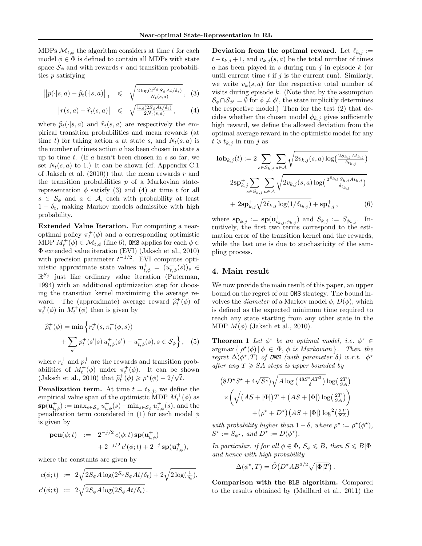MDPs  $\mathcal{M}_{t,\phi}$  the algorithm considers at time t for each model  $\phi \in \Phi$  is defined to contain all MDPs with state space  $\mathcal{S}_{\phi}$  and with rewards r and transition probabilities p satisfying

$$
\left\|p(\cdot|s,a) - \widehat{p}_t(\cdot|s,a)\right\|_1 \le \sqrt{\frac{2\log(2^{S_{\phi}}S_{\phi}At/\delta_t)}{N_t(s,a)}}, \quad (3)
$$

$$
\left| r(s,a) - \widehat{r}_t(s,a) \right| \leq \sqrt{\frac{\log(2S_\phi At/\delta_t)}{2N_t(s,a)}}, \quad (4)
$$

where  $\hat{p}_t(\cdot|s, a)$  and  $\hat{r}_t(s, a)$  are respectively the empirical transition probabilities and mean rewards (at time t) for taking action a at state s, and  $N_t(s, a)$  is the number of times action  $a$  has been chosen in state  $s$ up to time t. (If a hasn't been chosen in  $s$  so far, we set  $N_t(s, a)$  to 1.) It can be shown (cf. Appendix C.1) of Jaksch et al.  $(2010)$  that the mean rewards r and the transition probabilities  $p$  of a Markovian staterepresentation  $\phi$  satisfy (3) and (4) at time t for all  $s \in \mathcal{S}_{\phi}$  and  $a \in \mathcal{A}$ , each with probability at least  $1 - \delta_t$ , making Markov models admissible with high probability.

Extended Value Iteration. For computing a nearoptimal policy  $\pi_t^+(\phi)$  and a corresponding optimistic MDP  $M_t^+(\phi) \in \mathcal{M}_{t,\phi}$  (line 6), OMS applies for each  $\phi \in$ Φ extended value iteration (EVI) (Jaksch et al., 2010) with precision parameter  $t^{-1/2}$ . EVI computes optimistic approximate state values  $\mathbf{u}_{t,\phi}^+ = (u_{t,\phi}^+(s))_s \in$  $\mathbb{R}^{S_{\phi}}$  just like ordinary value iteration (Puterman, 1994) with an additional optimization step for choosing the transition kernel maximizing the average reward. The (approximate) average reward  $\hat{\rho}_t^+(\phi)$  of  $\pi^+(\phi)$  in  $M^+(\phi)$  then is given by  $\pi_t^+(\phi)$  in  $M_t^+(\phi)$  then is given by

$$
\widehat{\rho}_t^+(\phi) = \min \left\{ r_t^+(s, \pi_t^+(\phi, s)) + \sum_{s'} p_t^+(s'|s) u_{t,\phi}^+(s') - u_{t,\phi}^+(s), s \in \mathcal{S}_{\phi} \right\}, \quad (5)
$$

where  $r_t^+$  and  $p_t^+$  are the rewards and transition probabilities of  $M_t^+(\phi)$  under  $\pi_t^+(\phi)$ . It can be shown (Jaksch et al., 2010) that  $\hat{\rho}_t^+(\phi) \geq \rho^*(\phi) - 2/\sqrt{t}$ .

**Penalization term.** At time  $t = t_{k,j}$ , we define the empirical value span of the optimistic MDP  $M_t^+(\phi)$  as  $\mathbf{sp}(\mathbf{u}_{t,\phi}^+) := \max_{s \in \mathcal{S}_{\phi}} u_{t,\phi}^+(s) - \min_{s \in \mathcal{S}_{\phi}} u_{t,\phi}^+(s)$ , and the penalization term considered in (1) for each model  $\phi$ is given by

pen(
$$
\phi
$$
; t) :=  $2^{-j/2} c(\phi; t) \mathbf{sp}(\mathbf{u}_{t,\phi}^+)$   
  $+ 2^{-j/2} c'(\phi; t) + 2^{-j} \mathbf{sp}(\mathbf{u}_{t,\phi}^+),$ 

where the constants are given by

$$
c(\phi; t) := 2\sqrt{2S_{\phi}A\log(2^{S_{\phi}}S_{\phi}At/\delta_t)} + 2\sqrt{2\log(\frac{1}{\delta_t})},
$$
  

$$
c'(\phi; t) := 2\sqrt{2S_{\phi}A\log(2S_{\phi}At/\delta_t)}.
$$

Deviation from the optimal reward. Let  $\ell_{k,j} :=$  $t-t_{k,j}+1$ , and  $v_{k,j}(s,a)$  be the total number of times  $a$  has been played in s during run j in episode  $k$  (or until current time  $t$  if  $j$  is the current run). Similarly, we write  $v_k(s, a)$  for the respective total number of visits during episode  $k$ . (Note that by the assumption  $\mathcal{S}_{\phi} \cap \mathcal{S}_{\phi'} = \emptyset$  for  $\phi \neq \phi'$ , the state implicitly determines the respective model.) Then for the test (2) that decides whether the chosen model  $\phi_{k,j}$  gives sufficiently high reward, we define the allowed deviation from the optimal average reward in the optimistic model for any  $t \geq t_{k,j}$  in run j as

$$
\mathbf{lob}_{k,j}(t) := 2 \sum_{s \in S_{k,j}} \sum_{a \in A} \sqrt{2v_{k,j}(s,a) \log(\frac{2S_{k,j}At_{k,j}}{\delta_{t_{k,j}}})}
$$

$$
2s \mathbf{p}_{k,j}^+ \sum_{s \in S_{k,j}} \sum_{a \in A} \sqrt{2v_{k,j}(s,a) \log(\frac{2^{S_{k,j}}S_{k,j}At_{k,j}}{\delta_{t_{k,j}}})}
$$

$$
+ 2s \mathbf{p}_{k,j}^+ \sqrt{2\ell_{k,j} \log(1/\delta_{t_{k,j}})} + s \mathbf{p}_{k,j}^+, \tag{6}
$$

where  $\mathbf{sp}_{k,j}^+ := \mathbf{sp}(\mathbf{u}_{t_{k,j},\phi_{k,j}}^+)$  and  $S_{k,j} := S_{\phi_{k,j}}$ . Intuitively, the first two terms correspond to the estimation error of the transition kernel and the rewards, while the last one is due to stochasticity of the sampling process.

### 4. Main result

We now provide the main result of this paper, an upper bound on the regret of our OMS strategy. The bound involves the *diameter* of a Markov model  $\phi$ ,  $D(\phi)$ , which is defined as the expected minimum time required to reach any state starting from any other state in the MDP  $M(\phi)$  (Jaksch et al., 2010).

**Theorem 1** Let  $\phi^*$  be an optimal model, i.e.  $\phi^* \in$  $argmax \{ \rho^*(\phi) | \phi \in \Phi, \phi \text{ is Markovian} \}.$  Then the regret  $\Delta(\phi^*,T)$  of **OMS** (with parameter  $\delta$ ) w.r.t.  $\phi^*$ after any  $T \geq S A$  steps is upper bounded by

$$
(8D^{\star}S^{\star} + 4\sqrt{S^{\star}})\sqrt{A \log \left(\frac{48S^{\star}AT^3}{\delta}\right)} \log \left(\frac{2T}{SA}\right)
$$

$$
\times \left(\sqrt{(AS + |\Phi|)T + (AS + |\Phi|) \log \left(\frac{2T}{SA}\right)}\right)
$$

$$
+ (\rho^{\star} + D^{\star})(AS + |\Phi|) \log^{2} \left(\frac{2T}{SA}\right)
$$

with probability higher than  $1 - \delta$ , where  $\rho^* := \rho^*(\phi^*),$  $S^* := S_{\phi^*}$ , and  $D^* := D(\phi^*)$ .

In particular, if for all  $\phi \in \Phi$ ,  $S_{\phi} \leq B$ , then  $S \leq B|\Phi|$ and hence with high probability

$$
\Delta(\phi^*, T) = \tilde{O}(D^*AB^{3/2}\sqrt{|\Phi|T}).
$$

Comparison with the BLB algorithm. Compared to the results obtained by (Maillard et al., 2011) the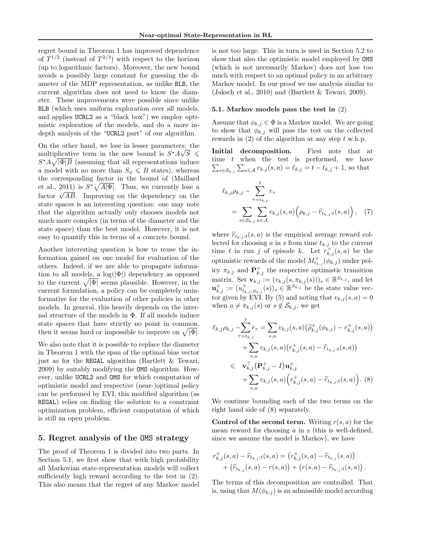regret bound in Theorem 1 has improved dependence of  $T^{1/2}$  (instead of  $T^{2/3}$ ) with respect to the horizon (up to logarithmic factors). Moreover, the new bound avoids a possibly large constant for guessing the diameter of the MDP representation, as unlike BLB, the current algorithm does not need to know the diameter. These improvements were possible since unlike BLB (which uses uniform exploration over all models, and applies UCRL2 as a "black box") we employ optimistic exploration of the models, and do a more indepth analysis of the "UCRL2 part" of our algorithm.

On the other hand, we lose in lesser parameters: the multiplicative term in the new bound is  $S^*A\sqrt{S}$   $\leq$  $S^{\star}A\sqrt{|\Phi|B}$  (assuming that all representations induce a model with no more than  $S_{\phi} \leq B$  states), whereas the corresponding factor in the bound of (Maillard et al., 2011) is  $S^*\sqrt{A|\Phi|}$ . Thus, we currently lose a et al., 2011) is  $\mathcal{N}$   $\mathcal{N}$   $\mathcal{N}$  = 1 mus, we currently lose a factor  $\sqrt{AB}$ . Improving on the dependency on the state spaces is an interesting question: one may note that the algorithm actually only chooses models not much more complex (in terms of the diameter and the state space) than the best model. However, it is not easy to quantify this in terms of a concrete bound.

Another interesting question is how to reuse the information gained on one model for evaluation of the others. Indeed, if we are able to propagate information to all models, a  $log(|\Phi|)$  dependency as opposed to the current  $\sqrt{|\Phi|}$  seems plausible. However, in the current formulation, a policy can be completely uninformative for the evaluation of other policies in other models. In general, this heavily depends on the internal structure of the models in Φ. If all models induce state spaces that have strictly no point in common, then it seems hard or impossible to improve on  $\sqrt{|\Phi|}$ .

We also note that it is possible to replace the diameter in Theorem 1 with the span of the optimal bias vector just as for the REGAL algorithm (Bartlett & Tewari, 2009) by suitably modifying the OMS algorithm. However, unlike UCRL2 and OMS for which computation of optimistic model and respective (near-)optimal policy can be performed by EVI, this modified algorithm (as REGAL) relies on finding the solution to a constraint optimization problem, efficient computation of which is still an open problem.

#### 5. Regret analysis of the OMS strategy

The proof of Theorem 1 is divided into two parts. In Section 5.1, we first show that with high probability all Markovian state-representation models will collect sufficiently high reward according to the test in (2). This also means that the regret of any Markov model is not too large. This in turn is used in Section 5.2 to show that also the optimistic model employed by OMS (which is not necessarily Markov) does not lose too much with respect to an optimal policy in an arbitrary Markov model. In our proof we use analysis similar to (Jaksch et al., 2010) and (Bartlett & Tewari, 2009).

#### 5.1. Markov models pass the test in (2)

Assume that  $\phi_{k,j} \in \Phi$  is a Markov model. We are going to show that  $\phi_{k,j}$  will pass the test on the collected rewards in  $(2)$  of the algorithm at any step t w.h.p.

Initial decomposition. First note that at time  $t$  when the test is performed, we have  $\sum_{s \in \mathcal{S}_{k,j}} \sum_{a \in \mathcal{A}} v_{k,j}(s, a) = \ell_{k,j} = t - t_{k,j} + 1$ , so that

$$
\ell_{k,j}\rho_{k,j} - \sum_{\tau=t_{k,j}}^{t} r_{\tau}
$$
\n
$$
= \sum_{s \in S_{k,j}} \sum_{a \in A} v_{k,j}(s,a) \left(\rho_{k,j} - \widehat{r}_{t_{k,j}:t}(s,a)\right), \quad (7)
$$

where  $\hat{r}_{t_{k,i}:t}(s, a)$  is the empirical average reward collected for choosing a in s from time  $t_{k,j}$  to the current time t in run j of episode k. Let  $r_{k,j}^+(s, a)$  be the optimistic rewards of the model  $M^+_{t_{k,j}}(\phi_{k,j})$  under policy  $\pi_{k,j}$  and  $\mathbf{P}_{k,j}^{+}$  the respective optimistic transition matrix. Set  $\mathbf{v}_{k,j} := (v_{k,j}(s, \pi_{k,j}(s)))_s \in \mathbb{R}^{S_{k,j}}$ , and let  $\mathbf{u}_{k,j}^+ := (u_{t_{k,j},\phi_{k,j}}^+(s))_s \in \mathbb{R}^{S_{k,j}}$  be the state value vector given by EVI. By (5) and noting that  $v_{k,j}(s, a) = 0$ when  $a \neq \pi_{k,j}(s)$  or  $s \notin \mathcal{S}_{k,j}$ , we get

$$
\ell_{k,j} \rho_{k,j} - \sum_{\tau=t_{k,j}}^{t} r_{\tau} = \sum_{s,a} v_{k,j}(s,a) (\hat{\rho}_{k,j}^{+}(\phi_{k,j}) - r_{k,j}^{+}(s,a)) \n+ \sum_{s,a} v_{k,j}(s,a) (r_{k,j}^{+}(s,a) - \hat{r}_{t_{k,j}:t}(s,a)) \n\leq \mathbf{v}_{k,j}^{\top} (\mathbf{P}_{k,j}^{+} - I) \mathbf{u}_{k,j}^{+} \n+ \sum_{s,a} v_{k,j}(s,a) (r_{k,j}^{+}(s,a) - \hat{r}_{t_{k,j}:t}(s,a)).
$$
 (8)

We continue bounding each of the two terms on the right hand side of (8) separately.

**Control of the second term.** Writing  $r(s, a)$  for the mean reward for choosing  $a$  in  $s$  (this is well-defined, since we assume the model is Markov), we have

$$
r_{k,j}^+(s,a) - \hat{r}_{t_{k,j}:t}(s,a) = (r_{k,j}^+(s,a) - \hat{r}_{t_{k,j}}(s,a)) + (\hat{r}_{t_{k,j}}(s,a) - r(s,a)) + (r(s,a) - \hat{r}_{t_{k,j}:t}(s,a)).
$$

The terms of this decomposition are controlled. That is, using that  $M(\phi_{k,j})$  is an admissible model according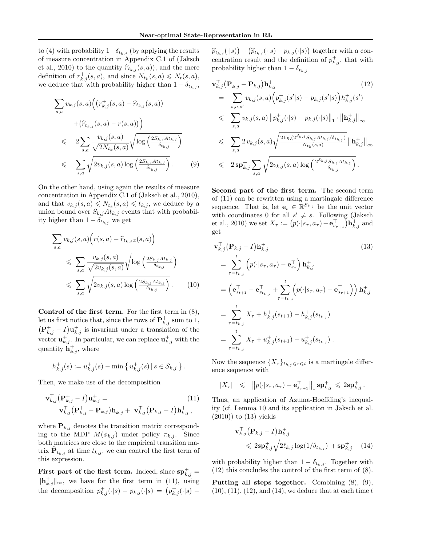to (4) with probability  $1-\delta_{t_{k,j}}$  (by applying the results of measure concentration in Appendix C.1 of (Jaksch et al., 2010) to the quantity  $\hat{r}_{t_{k,j}}(s, a)$ , and the mere definition of  $r_{k,j}^+(s, a)$ , and since  $N_{t_k}(s, a) \le N_t(s, a)$ , we deduce that with probability higher than  $1 - \delta_{t_{k,j}}$ ,

$$
\sum_{s,a} v_{k,j}(s,a) \Big( \big( r_{k,j}^+(s,a) - \hat{r}_{t_{k,j}}(s,a) \big) + \big( \hat{r}_{t_{k,j}}(s,a) - r(s,a) \big) \Big) \n\leq 2 \sum_{s,a} \frac{v_{k,j}(s,a)}{\sqrt{2N_{t_k}(s,a)}} \sqrt{\log \left( \frac{2S_{k,j}At_{k,j}}{\delta_{t_{k,j}}} \right)} \n\leq \sum_{s,a} \sqrt{2v_{k,j}(s,a) \log \left( \frac{2S_{k,j}At_{k,j}}{\delta_{t_{k,j}}} \right)}.
$$
\n(9)

On the other hand, using again the results of measure concentration in Appendix C.1 of (Jaksch et al., 2010), and that  $v_{k,j}(s, a) \leqslant N_{t_k}(s, a) \leqslant t_{k,j}$ , we deduce by a union bound over  $S_{k,j}At_{k,j}$  events that with probability higher than  $1 - \delta_{t_{k,j}}$  we get

$$
\sum_{s,a} v_{k,j}(s,a) \left( r(s,a) - \hat{r}_{t_{k,j}:t}(s,a) \right)
$$
\n
$$
\leqslant \sum_{s,a} \frac{v_{k,j}(s,a)}{\sqrt{2v_{k,j}(s,a)}} \sqrt{\log \left( \frac{2S_{k,j}At_{k,j}}{\delta_{t_{k,j}}} \right)}
$$
\n
$$
\leqslant \sum_{s,a} \sqrt{2v_{k,j}(s,a) \log \left( \frac{2S_{k,j}At_{k,j}}{\delta_{t_{k,j}}} \right)}.
$$
\n(10)

Control of the first term. For the first term in (8), let us first notice that, since the rows of  $\mathbf{P}^+_{k,j}$  sum to 1,  $(\mathbf{P}_{k,j}^+ - I)\mathbf{u}_{k,j}^+$  is invariant under a translation of the vector  $\mathbf{u}_{k,j}^+$ . In particular, we can replace  $\mathbf{u}_{k,j}^+$  with the quantity  $\mathbf{h}_{k,j}^{+}$ , where

$$
h_{k,j}^+(s) := u_{k,j}^+(s) - \min\left\{u_{k,j}^+(s) \,|\, s \in \mathcal{S}_{k,j}\right\}.
$$

Then, we make use of the decomposition

$$
\mathbf{v}_{k,j}^{\top} (\mathbf{P}_{k,j}^{+} - I) \mathbf{u}_{k,j}^{+} = (11) \n\mathbf{v}_{k,j}^{\top} (\mathbf{P}_{k,j}^{+} - \mathbf{P}_{k,j}) \mathbf{h}_{k,j}^{+} + \mathbf{v}_{k,j}^{\top} (\mathbf{P}_{k,j} - I) \mathbf{h}_{k,j}^{+},
$$

where  $\mathbf{P}_{k,j}$  denotes the transition matrix corresponding to the MDP  $M(\phi_{k,j})$  under policy  $\pi_{k,j}$ . Since both matrices are close to the empirical transition matrix  $\mathbf{P}_{t_{k,j}}$  at time  $t_{k,j}$ , we can control the first term of this expression.

First part of the first term. Indeed, since  $\mathbf{sp}_{k,j}^+$  =  $\|\mathbf{h}_{k,j}^+\|_{\infty}$ , we have for the first term in (11), using the decomposition  $p_{k,j}^{\dagger}(\cdot|s) - p_{k,j}(\cdot|s) = (p_{k,j}^{\dagger}(\cdot|s) -$ 

 $\widehat{p}_{t_{k,j}}(\cdot|s) + (\widehat{p}_{t_{k,j}}(\cdot|s) - p_{k,j}(\cdot|s))$  together with a concentration result and the definition of  $p_{k,j}^+$ , that with probability higher than  $1 - \delta_{t_{k,j}}$ 

$$
\mathbf{v}_{k,j}^{\top}(\mathbf{P}_{k,j}^{+} - \mathbf{P}_{k,j})\mathbf{h}_{k,j}^{+}
$$
\n
$$
= \sum_{s,a,s'} v_{k,j}(s,a) \Big( p_{k,j}^{+}(s'|s) - p_{k,j}(s'|s) \Big) h_{k,j}^{+}(s')
$$
\n
$$
\leq \sum_{s,a} v_{k,j}(s,a) \| p_{k,j}^{+}(\cdot|s) - p_{k,j}(\cdot|s) \|_{1} \cdot \| \mathbf{h}_{k,j}^{+} \|_{\infty}
$$
\n
$$
\leq \sum_{s,a} 2 v_{k,j}(s,a) \sqrt{\frac{2 \log(2^{S_{k,j}} S_{k,j} At_{k,j}/\delta_{t_{k,j}})}{N_{t_k}(s,a)}} \| \mathbf{h}_{k,j}^{+} \|_{\infty}
$$
\n
$$
\leq 2 \mathbf{sp}_{k,j}^{+} \sum_{s,a} \sqrt{2 v_{k,j}(s,a) \log \left( \frac{2^{S_{k,j}} S_{k,j} At_{k,j}}{\delta_{t_{k,j}}} \right)}.
$$
\n(12)

Second part of the first term. The second term of (11) can be rewritten using a martingale difference sequence. That is, let  $\mathbf{e}_s \in \mathbb{R}^{S_{k,j}}$  be the unit vector with coordinates 0 for all  $s' \neq s$ . Following (Jaksch et al., 2010) we set  $X_{\tau} := (p(\cdot|s_{\tau}, a_{\tau}) - \mathbf{e}_{s_{\tau+1}}^{\top})\mathbf{h}_{k,j}^+$  and get

$$
\mathbf{v}_{k,j}^{\top}(\mathbf{P}_{k,j} - I)\mathbf{h}_{k,j}^{\top} \qquad (13)
$$
\n
$$
= \sum_{\tau=t_{k,j}}^{t} \left( p(\cdot|s_{\tau}, a_{\tau}) - \mathbf{e}_{s_{\tau}}^{\top} \right) \mathbf{h}_{k,j}^{\top}
$$
\n
$$
= \left( \mathbf{e}_{s_{t+1}}^{\top} - \mathbf{e}_{s_{t_{k,j}}}^{\top} + \sum_{\tau=t_{k,j}}^{t} \left( p(\cdot|s_{\tau}, a_{\tau}) - \mathbf{e}_{s_{\tau+1}}^{\top} \right) \right) \mathbf{h}_{k,j}^{\top}
$$
\n
$$
= \sum_{\tau=t_{k,j}}^{t} X_{\tau} + h_{k,j}^{\top} (s_{t+1}) - h_{k,j}^{\top} (s_{t_{k,j}})
$$
\n
$$
= \sum_{\tau=t_{k,j}}^{t} X_{\tau} + u_{k,j}^{\top} (s_{t+1}) - u_{k,j}^{\top} (s_{t_{k,j}}) .
$$
\n(13)

Now the sequence  $\{X_{\tau}\}_{t_k,j\leqslant\tau\leqslant t}$  is a martingale difference sequence with

$$
|X_{\tau}| \leqslant \|p(\cdot|s_{\tau}, a_{\tau}) - \mathbf{e}_{s_{\tau+1}}^{\top}\|_1 \mathbf{sp}_{k,j}^+ \leqslant 2\mathbf{sp}_{k,j}^+.
$$

Thus, an application of Azuma-Hoeffding's inequality (cf. Lemma 10 and its application in Jaksch et al.  $(2010)$  to  $(13)$  yields

$$
\mathbf{v}_{k,j}^{\top}(\mathbf{P}_{k,j} - I)\mathbf{h}_{k,j}^+ \n\leq 2\mathbf{sp}_{k,j}^+ \sqrt{2\ell_{k,j}\log(1/\delta_{t_{k,j}})} + \mathbf{sp}_{k,j}^+ \quad (14)
$$

with probability higher than  $1 - \delta_{t_{k,j}}$ . Together with (12) this concludes the control of the first term of (8).

Putting all steps together. Combining (8), (9),  $(10), (11), (12),$  and  $(14),$  we deduce that at each time t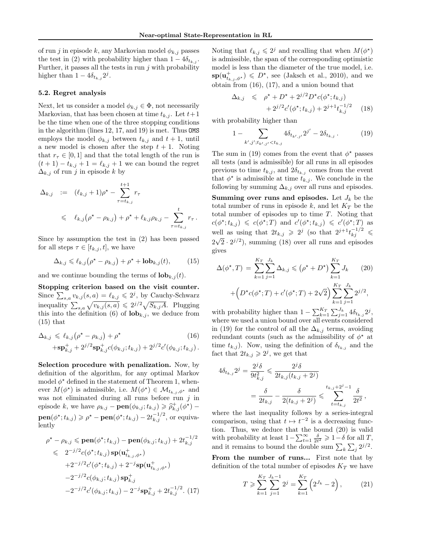of run $j$ in episode $k,$ any Markovian model $\phi_{k,j}$  passes the test in (2) with probability higher than  $1 - 4\delta_{t_{k,j}}$ . Further, it passes all the tests in run  $j$  with probability higher than  $1 - 4\delta_{t_{k,j}} 2^j$ .

#### 5.2. Regret analysis

Next, let us consider a model  $\phi_{k,j} \in \Phi$ , not necessarily Markovian, that has been chosen at time  $t_{k,i}$ . Let  $t+1$ be the time when one of the three stopping conditions in the algorithm (lines 12, 17, and 19) is met. Thus OMS employs the model  $\phi_{k,j}$  between  $t_{k,j}$  and  $t+1$ , until a new model is chosen after the step  $t + 1$ . Noting that  $r_{\tau} \in [0, 1]$  and that the total length of the run is  $(t + 1) - t_{k,j} + 1 = \ell_{k,j} + 1$  we can bound the regret  $\Delta_{k,j}$  of run j in episode k by

$$
\Delta_{k,j} := (\ell_{k,j} + 1)\rho^* - \sum_{\tau=t_{k,j}}^{t+1} r_{\tau}
$$
\n
$$
\leq \ell_{k,j}(\rho^* - \rho_{k,j}) + \rho^* + \ell_{k,j}\rho_{k,j} - \sum_{\tau=t_{k,j}}^{t} r_{\tau}.
$$

Since by assumption the test in (2) has been passed for all steps  $\tau \in [t_{k,j}, t]$ , we have

$$
\Delta_{k,j} \leq \ell_{k,j} \left( \rho^* - \rho_{k,j} \right) + \rho^* + \mathbf{lob}_{k,j}(t),\tag{15}
$$

and we continue bounding the terms of  $\textbf{lob}_{k,j}(t)$ .

Stopping criterion based on the visit counter. Since  $\sum_{s,a} v_{k,j}(s,a) = \ell_{k,j} \leqslant 2^j$ , by Cauchy-Schwarz inequality  $\sum_{s,a} \sqrt{v_{k,j}(s,a)} \leq 2^{j/2} \sqrt{S_{k,j}A}$ . Plugging this into the definition (6) of  $\textbf{lob}_{k,j}$ , we deduce from  $(15)$  that

$$
\Delta_{k,j} \leq \ell_{k,j} (\rho^* - \rho_{k,j}) + \rho^* \qquad (16)
$$
  
 
$$
+ s \mathbf{p}^+_{k,j} + 2^{j/2} s \mathbf{p}^+_{k,j} c(\phi_{k,j}; t_{k,j}) + 2^{j/2} c'(\phi_{k,j}; t_{k,j}).
$$

Selection procedure with penalization. Now, by definition of the algorithm, for any optimal Markov model  $\phi^*$  defined in the statement of Theorem 1, whenever  $M(\phi^*)$  is admissible, i.e.  $M(\phi^*) \in \mathcal{M}_{t_{k,j},\phi^*}$  and was not eliminated during all runs before run  $j$  in episode k, we have  $\rho_{k,j} - \textbf{pen}(\phi_{k,j}; t_{k,j}) \geqslant \hat{\rho}_{k,j}^+(\phi^{\star}) \textbf{pen}(\phi^{\star}; t_{k,j}) \geqslant \rho^{\star} - \textbf{pen}(\phi^{\star}; t_{k,j}) - 2t_{k,j}^{-1/2}, \text{ or equiv-}$ lently

$$
\rho^* - \rho_{k,j} \le \mathbf{pen}(\phi^*; t_{k,j}) - \mathbf{pen}(\phi_{k,j}; t_{k,j}) + 2t_{k,j}^{-1/2}
$$
  
\n
$$
\le 2^{-j/2} c(\phi^*; t_{k,j}) \mathbf{sp}(\mathbf{u}_{t_{k,j}, \phi^*}^+)
$$
  
\n
$$
+ 2^{-j/2} c'(\phi^*; t_{k,j}) + 2^{-j} \mathbf{sp}(\mathbf{u}_{t_{k,j}, \phi^*}^+)
$$
  
\n
$$
-2^{-j/2} c(\phi_{k,j}; t_{k,j}) \mathbf{sp}_{k,j}^+
$$
  
\n
$$
-2^{-j/2} c'(\phi_{k,j}; t_{k,j}) - 2^{-j} \mathbf{sp}_{k,j}^+ + 2t_{k,j}^{-1/2}. (17)
$$

 $1/2$ 

Noting that  $\ell_{k,j} \leqslant 2^j$  and recalling that when  $M(\phi^*)$ is admissible, the span of the corresponding optimistic model is less than the diameter of the true model, i.e.  $\mathbf{sp}(\mathbf{u}_{t_{k,j},\phi^*}^+) \leqslant D^*$ , see (Jaksch et al., 2010), and we obtain from (16), (17), and a union bound that

$$
\Delta_{k,j} \leq \rho^* + D^* + 2^{j/2} D^* c(\phi^*; t_{k,j}) + 2^{j/2} c'(\phi^*; t_{k,j}) + 2^{j+1} t_{k,j}^{-1/2}
$$
 (18)

with probability higher than

$$
1 - \sum_{k',j',t_{k',j'} < t_{k,j}} 4\delta_{t_{k',j'}} 2^{j'} - 2\delta_{t_{k,j}} \,. \tag{19}
$$

The sum in (19) comes from the event that  $\phi^*$  passes all tests (and is admissible) for all runs in all episodes previous to time  $t_{k,j}$ , and  $2\delta_{t_{k,j}}$  comes from the event that  $\phi^*$  is admissible at time  $t_{k,j}$ . We conclude in the following by summing  $\Delta_{k,j}$  over all runs and episodes.

**Summing over runs and episodes.** Let  $J_k$  be the total number of runs in episode  $k$ , and let  $K_T$  be the total number of episodes up to time T. Noting that  $c(\phi^*; t_{k,j}) \leqslant c(\phi^*; T)$  and  $c'(\phi^*; t_{k,j}) \leqslant c'(\phi^*; T)$  as well as using that  $2t_{k,j} \geq 2^j$  (so that  $2^{j+1}t_{kj}^{-1/2} \leq$  $2\sqrt{2} \cdot 2^{j/2}$ , summing (18) over all runs and episodes gives

$$
\Delta(\phi^*, T) = \sum_{k=1}^{K_T} \sum_{j=1}^{J_k} \Delta_{k,j} \le (\rho^* + D^*) \sum_{k=1}^{K_T} J_k
$$
 (20)  
+ 
$$
\left(D^*c(\phi^*; T) + c'(\phi^*; T) + 2\sqrt{2}\right) \sum_{k=1}^{K_T} \sum_{j=1}^{J_k} 2^{j/2},
$$

with probability higher than  $1 - \sum_{k=1}^{K_T} \sum_{j=1}^{J_k} 4 \delta_{t_{k,j}} 2^j$ , where we used a union bound over all events considered in (19) for the control of all the  $\Delta_{k,j}$  terms, avoiding redundant counts (such as the admissibility of  $\phi^*$  at time  $t_{k,j}$ ). Now, using the definition of  $\delta_{t_{k,j}}$  and the fact that  $2t_{k,j} \geq 2^j$ , we get that

$$
4\delta_{t_{k,j}} 2^j = \frac{2^j \delta}{9t_{k,j}^2} \leqslant \frac{2^j \delta}{2t_{k,j}(t_{k,j} + 2^j)}
$$
  
= 
$$
\frac{\delta}{2t_{k,j}} - \frac{\delta}{2(t_{k,j} + 2^j)} \leqslant \sum_{t=t_{k,j}}^{t_{k,j} + 2^j - 1} \frac{\delta}{2t^2},
$$

where the last inequality follows by a series-integral comparison, using that  $t \mapsto t^{-2}$  is a decreasing function. Thus, we deduce that the bound (20) is valid with probability at least  $1 - \sum_{t=1}^{\infty} \frac{\delta}{2t^2} \geq 1 - \delta$  for all T, and it remains to bound the double sum  $\sum_{k} \sum_{j} 2^{j/2}$ .

From the number of runs... First note that by definition of the total number of episodes  $K_T$  we have

$$
T \ge \sum_{k=1}^{K_T} \sum_{j=1}^{J_k - 1} 2^j = \sum_{k=1}^{K_T} \left( 2^{J_k} - 2 \right), \tag{21}
$$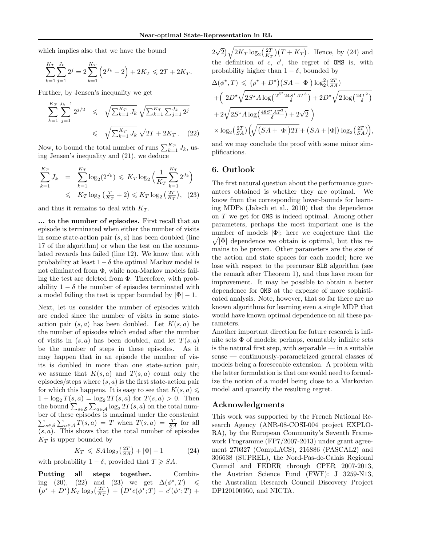which implies also that we have the bound

$$
\sum_{k=1}^{K_T} \sum_{j=1}^{J_k} 2^j = 2 \sum_{k=1}^{K_T} \left( 2^{J_k} - 2 \right) + 2K_T \leq 2T + 2K_T.
$$

Further, by Jensen's inequality we get

$$
\sum_{k=1}^{K_T} \sum_{j=1}^{J_k - 1} 2^{j/2} \leq \sqrt{\sum_{k=1}^{K_T} J_k} \sqrt{\sum_{k=1}^{K_T} \sum_{j=1}^{J_k} 2^j}
$$
  

$$
\leq \sqrt{\sum_{k=1}^{K_T} J_k} \sqrt{2T + 2K_T}.
$$
 (22)

Now, to bound the total number of runs  $\sum_{k=1}^{K_T} J_k$ , using Jensen's inequality and (21), we deduce

$$
\sum_{k=1}^{K_T} J_k = \sum_{k=1}^{K_T} \log_2(2^{J_k}) \leq K_T \log_2\left(\frac{1}{K_T} \sum_{k=1}^{K_T} 2^{J_k}\right) \leq K_T \log_2\left(\frac{T}{K_T} + 2\right) \leq K_T \log_2\left(\frac{2T}{K_T}\right), \quad (23)
$$

and thus it remains to deal with  $K_T$ .

... to the number of episodes. First recall that an episode is terminated when either the number of visits in some state-action pair  $(s, a)$  has been doubled (line 17 of the algorithm) or when the test on the accumulated rewards has failed (line 12). We know that with probability at least  $1 - \delta$  the optimal Markov model is not eliminated from Φ, while non-Markov models failing the test are deleted from Φ. Therefore, with probability  $1 - \delta$  the number of episodes terminated with a model failing the test is upper bounded by  $|\Phi| - 1$ .

Next, let us consider the number of episodes which are ended since the number of visits in some stateaction pair  $(s, a)$  has been doubled. Let  $K(s, a)$  be the number of episodes which ended after the number of visits in  $(s, a)$  has been doubled, and let  $T(s, a)$ be the number of steps in these episodes. As it may happen that in an episode the number of visits is doubled in more than one state-action pair, we assume that  $K(s, a)$  and  $T(s, a)$  count only the episodes/steps where  $(s, a)$  is the first state-action pair for which this happens. It is easy to see that  $K(s, a) \leq$  $1 + \log_2 T(s, a) = \log_2 2T(s, a)$  for  $T(s, a) > 0$ . Then the bound  $\sum_{s\in\mathcal{S}}\sum_{a\in\mathcal{A}}\log_22T(s,a)$  on the total number of these episodes is maximal under the constraint  $\sum_{s\in\mathcal{S}}\sum_{a\in\mathcal{A}}T(s,a) = T$  when  $T(s,a) = \frac{T}{SA}$  for all  $(s, a)$ . This shows that the total number of episodes  $K_T$  is upper bounded by

$$
K_T \leqslant SA \log_2\left(\frac{2T}{SA}\right) + |\Phi| - 1 \tag{24}
$$

with probability  $1 - \delta$ , provided that  $T \geq S A$ .

Putting all steps together. Combining (20), (22) and (23) we get  $\Delta(\phi^*,T) \leq$  $(\rho^* + D^*)K_T \log_2(\frac{2T}{K_T}) + (D^*c(\phi^*;T) + c'(\phi^*;T) +$ 

2 √  $\sqrt{2K_T \log_2(\frac{2T}{K_T})(T+K_T)}$ . Hence, by (24) and the definition of  $c, c',$  the regret of OMS is, with probability higher than  $1 - \delta$ , bounded by

$$
\Delta(\phi^*, T) \leq (\rho^* + D^*) \left( SA + |\Phi| \right) \log_2^2\left(\frac{2T}{SA}\right)
$$
  
+ 
$$
\left( 2D^* \sqrt{2S^* A \log\left(\frac{2^{S^*} 24S^* A T^3}{\delta}\right)} + 2D^* \sqrt{2 \log\left(\frac{24T^2}{\delta}\right)}
$$
  
+ 
$$
2\sqrt{2S^* A \log\left(\frac{48S^* A T^3}{\delta}\right)} + 2\sqrt{2}
$$
  

$$
\times \log_2\left(\frac{2T}{SA}\right) \left( \sqrt{\left(SA + |\Phi|\right) 2T} + \left(SA + |\Phi|\right) \log_2\left(\frac{2T}{SA}\right) \right),
$$

and we may conclude the proof with some minor simplifications.

#### 6. Outlook

The first natural question about the performance guarantees obtained is whether they are optimal. We know from the corresponding lower-bounds for learning MDPs (Jaksch et al., 2010) that the dependence on T we get for OMS is indeed optimal. Among other parameters, perhaps the most important one is the number of models |Φ|; here we conjecture that the  $\sqrt{|\Phi|}$  dependence we obtain is optimal, but this remains to be proven. Other parameters are the size of the action and state spaces for each model; here we lose with respect to the precursor BLB algorithm (see the remark after Theorem 1), and thus have room for improvement. It may be possible to obtain a better dependence for OMS at the expense of more sophisticated analysis. Note, however, that so far there are no known algorithms for learning even a single MDP that would have known optimal dependence on all these parameters.

Another important direction for future research is infinite sets  $\Phi$  of models; perhaps, countably infinite sets is the natural first step, with separable — in a suitable sense — continuously-parametrized general classes of models being a foreseeable extension. A problem with the latter formulation is that one would need to formalize the notion of a model being close to a Markovian model and quantify the resulting regret.

#### Acknowledgments

This work was supported by the French National Research Agency (ANR-08-COSI-004 project EXPLO-RA), by the European Community's Seventh Framework Programme (FP7/2007-2013) under grant agreement 270327 (CompLACS), 216886 (PASCAL2) and 306638 (SUPREL), the Nord-Pas-de-Calais Regional Council and FEDER through CPER 2007-2013, the Austrian Science Fund (FWF): J 3259-N13, the Australian Research Council Discovery Project DP120100950, and NICTA.